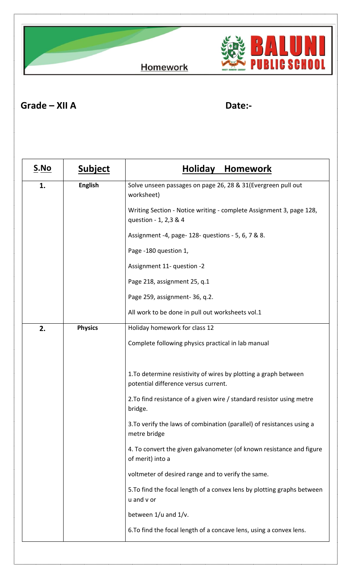**Homework** 



**Grade – XII A Date:-**

| <u>S.No</u>          | <b>Subject</b> | Holiday Homework                                                                                         |
|----------------------|----------------|----------------------------------------------------------------------------------------------------------|
| <b>English</b><br>1. |                | Solve unseen passages on page 26, 28 & 31 (Evergreen pull out<br>worksheet)                              |
|                      |                | Writing Section - Notice writing - complete Assignment 3, page 128,<br>question - 1, 2,3 & 4             |
|                      |                | Assignment -4, page- 128- questions - 5, 6, 7 & 8.                                                       |
|                      |                | Page -180 question 1,                                                                                    |
|                      |                | Assignment 11- question -2                                                                               |
|                      |                | Page 218, assignment 25, q.1                                                                             |
|                      |                | Page 259, assignment-36, q.2.                                                                            |
|                      |                | All work to be done in pull out worksheets vol.1                                                         |
| 2.                   | <b>Physics</b> | Holiday homework for class 12                                                                            |
|                      |                | Complete following physics practical in lab manual                                                       |
|                      |                |                                                                                                          |
|                      |                | 1. To determine resistivity of wires by plotting a graph between<br>potential difference versus current. |
|                      |                | 2. To find resistance of a given wire / standard resistor using metre<br>bridge.                         |
|                      |                | 3. To verify the laws of combination (parallel) of resistances using a<br>metre bridge                   |
|                      |                | 4. To convert the given galvanometer (of known resistance and figure<br>of merit) into a                 |
|                      |                | voltmeter of desired range and to verify the same.                                                       |
|                      |                | 5. To find the focal length of a convex lens by plotting graphs between<br>u and v or                    |
|                      |                | between 1/u and 1/v.                                                                                     |
|                      |                | 6. To find the focal length of a concave lens, using a convex lens.                                      |
|                      |                |                                                                                                          |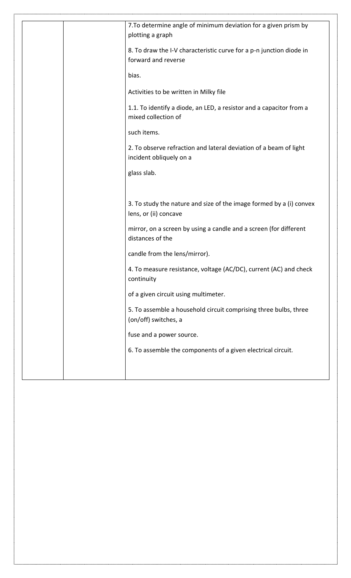|  | 7. To determine angle of minimum deviation for a given prism by<br>plotting a graph          |
|--|----------------------------------------------------------------------------------------------|
|  | 8. To draw the I-V characteristic curve for a p-n junction diode in<br>forward and reverse   |
|  | bias.                                                                                        |
|  | Activities to be written in Milky file                                                       |
|  | 1.1. To identify a diode, an LED, a resistor and a capacitor from a<br>mixed collection of   |
|  | such items.                                                                                  |
|  | 2. To observe refraction and lateral deviation of a beam of light<br>incident obliquely on a |
|  | glass slab.                                                                                  |
|  |                                                                                              |
|  | 3. To study the nature and size of the image formed by a (i) convex<br>lens, or (ii) concave |
|  |                                                                                              |
|  | mirror, on a screen by using a candle and a screen (for different<br>distances of the        |
|  | candle from the lens/mirror).                                                                |
|  | 4. To measure resistance, voltage (AC/DC), current (AC) and check<br>continuity              |
|  | of a given circuit using multimeter.                                                         |
|  | 5. To assemble a household circuit comprising three bulbs, three<br>(on/off) switches, a     |
|  | fuse and a power source.                                                                     |
|  | 6. To assemble the components of a given electrical circuit.                                 |
|  |                                                                                              |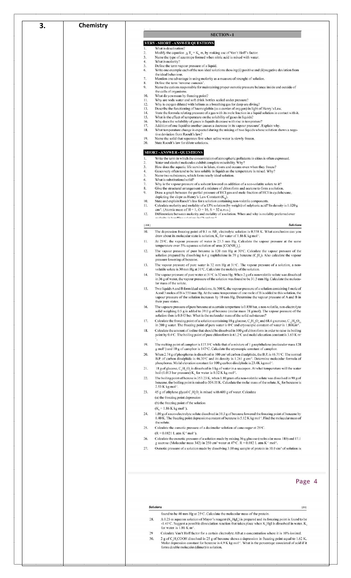| 3. | Chemistry |            |                                                                                                                                                                                                                                                       |
|----|-----------|------------|-------------------------------------------------------------------------------------------------------------------------------------------------------------------------------------------------------------------------------------------------------|
|    |           |            |                                                                                                                                                                                                                                                       |
|    |           |            | <b>SECTION-1</b>                                                                                                                                                                                                                                      |
|    |           | Ι.         | <b>VERY-SHORT-ANSWER QUESTIONS</b><br>What is desalination?                                                                                                                                                                                           |
|    |           | 2.<br>3.   | Modify the equation $\Delta T_h = K_h m$ , by making use of Van t Hoff's factor.<br>Name the type of azeotrope formed when nitric acid is mixed with water.                                                                                           |
|    |           | 4.<br>5.   | What is molarity?<br>Define the term vapour pressure of a liquid.                                                                                                                                                                                     |
|    |           | 6.         | Write one example each of the non ideal solutions showing (i) positive and (ii) negative deviation from<br>the ideal behaviour.                                                                                                                       |
|    |           | 7.<br>8.   | Mention one advantage in using molarity as a measure of strenght of solution.<br>Define the term 'reverse osmosis'.                                                                                                                                   |
|    |           | 9.         | Name the cations responsible for maintaining proper osmotic pressure balance inside and outside of                                                                                                                                                    |
|    |           | 10.        | the cells of organisms.<br>What do you mean by freezing point?                                                                                                                                                                                        |
|    |           | 11.<br>12. | Why are soda water and soft drink bottles sealed under pressure?<br>Why is oxygen diluted with helium as a breathing gas for deep sea diving?                                                                                                         |
|    |           | 13.<br>14. | Describe the functioning of haemoglobin (as a carrier of oxygen) in light of Henry's Law.<br>State the formula relating pressure of a gas with its mole fraction in a liquid solution in contact with it.                                             |
|    |           | 15.<br>16. | What is the effect of temperature on the solubility of gases in liquids?<br>Why does the solubility of gases in liquids decrease with rise in temprature?                                                                                             |
|    |           | 17.<br>18. | Addition of one liquid to another causes a decrease in its vapour pressure'. Explain why.                                                                                                                                                             |
|    |           |            | What temperature change is expected during the mixing of two liquids whose solution shows a nega-<br>tive deviation from Raoult's law?                                                                                                                |
|    |           | 19.<br>20. | Name the solid that separates first when saline water is slowly frozen.<br>State Raoult's law for dilute solutions.                                                                                                                                   |
|    |           |            | <b>SHORT-ANSWER-QUESTIONS</b>                                                                                                                                                                                                                         |
|    |           | 1.         | Write the term in which the concentration of atmospheric pollutants in cities is often expressed.                                                                                                                                                     |
|    |           | 2.<br>3.   | Water and alcohol molecules exhibit complete miscibility. Why?<br>How does the aquatic life survive in lakes, rivers and oceans even when they freeze?                                                                                                |
|    |           | 4.<br>5.   | Gases very often tend to be less soluble in liquids as the temperature is raised. Why?<br>Name two substances, which form nearly ideal solution.                                                                                                      |
|    |           | 6.<br>7.   | What is substitutional solid?<br>Why is the vapour pressure of a solvent lowered on addition of a non-volatite solute to it?                                                                                                                          |
|    |           | 8.         | Give the structural arrangement of a mixture of chloroform and acetone to form a solution.                                                                                                                                                            |
|    |           | 9.         | Draw a graph between the partial pressure of HCl gas and mole fraction of HCl in cyclohexane,<br>depicting the slope as Henry's Law Constant $(K_u)$ .                                                                                                |
|    |           | 10.<br>11. | State and explain Raoult's law for a solution containing non-volatile components.<br>Calculate molarity and molality of a 13% solution (by weight) of sulphuric acid? Its density is 1.020 g                                                          |
|    |           | 12.        | cm <sup>-3</sup> . (Atomic mass of H = 1, O = 16, S = 32 a.m.u.)<br>Differentiate between molarity and molality of a solution. When and why is molality preferred over                                                                                |
|    |           |            | molacity in handling colutions in Chamister?                                                                                                                                                                                                          |
|    |           | 1301       | <b>Solutions</b>                                                                                                                                                                                                                                      |
|    |           | 10.        | The depression freezing point of 0.1 m AB, electrolyte solution is 0.558 K. What conclusion can you<br>draw about its molecular state is solution, $Kr$ for water of 1.86 K kg mol <sup>-1</sup> .                                                    |
|    |           | 11.        | At 25°C, the vapour pressure of water is 23.5 mm Hg. Calculate the vapour pressure at the same<br>temperature over 5% aqueous solution of urea [CO(NH <sub>2</sub> ) <sub>2</sub> ].                                                                  |
|    |           | 12.        | The vapour pressure of pure benzene is 120 mm Hg at $30^{\circ}$ C. Calculate the vapour pressure of the                                                                                                                                              |
|    |           |            | solution prepared by dissolving 6.4 g naphthalene in 39 g benzene ( $C_cH_c$ ). Also calculate the vapour<br>pressure lowering of benzene.                                                                                                            |
|    |           | 13.        | The vapour pressure of pure water is 32 mm Hg at $31^{\circ}$ C. The vapour pressure of a solution, a non-<br>volatile solute is 30 mm Hg at 31 °C. Calculate the molality of the solution.                                                           |
|    |           | 14         | The vapour pressure of pure water at $31^{\circ}$ C is $32$ mm Hg. When 2 g of a non-volatile solute was dissolved                                                                                                                                    |
|    |           |            | in 36 g of water, the vapour pressure of the solution was found to be 31.5 mm Hg. Calculate the molecu-<br>lar mass of the solute.                                                                                                                    |
|    |           | 15.        | Two liquids A and B form ideal solutions. At 300 K, the vapour pressure of a solution containing 1 mole of<br>A and 3 moles of B is 550 mm Hg. At the same temperature of one mole of B is added to this solution, the                                |
|    |           |            | vapour pressure of the solution increases by 10 mm Hg. Determine the vapour pressure of A and B in                                                                                                                                                    |
|    |           | 16.        | their pure states.<br>The vapoure pressure of pure benzene at a certain temperture is 0.850 bar, a non-volatile, non-electrolyte                                                                                                                      |
|    |           |            | solid weighing 0.5 g is added to 39.0 g of benzene (molar mass 78 g/mol). The vapour pressure of the<br>solution then is 0.845 bar. What is the molecular mass of the solid substances?                                                               |
|    |           | 17.        | Calculate the freezing point of a solution containing 18 g glucose, $C_6H_1$ , $O_6$ and 68.4 g surcose, $C_1$ , $H_2$ , $O_1$                                                                                                                        |
|    |           | 18.        | in 200 g water. The freezing point of pure water is $0^{\circ}$ C and cryoscopic constant of water is 1.86Km <sup>-1</sup> .<br>Calculate the amount of iodine that should be dissolved in 100 g of chloroform in order to raise its boiling          |
|    |           |            | point by 0.4 °C. The boiling point of pure chloroform is $61.2$ °C and molal elevation constant is 3.63 K m                                                                                                                                           |
|    |           | 19.        | The melting point of camphor is $177.5^{\circ}$ C while that of a mixture of 1 g naphthalene (molecular mass 128                                                                                                                                      |
|    |           | 20.        | g mol <sup>-1</sup> ) and 10 g of camphor is 147 °C. Calculate the cryoscopic constant of camphor.<br>When 2.74 g of phosphorus is dissolved in 100 cm <sup>3</sup> of carbon disulphide, the B.P. is 46.71 °C. The normal                            |
|    |           |            | B.P. of carbon disulphide is 46.30°C and its density is 1.261 g cm <sup>-3</sup> . Determine molecular formula of<br>phosphorus. Molal elevation constant for 100 g carbon disulphide is 23.4K kg mol <sup>-1</sup> .                                 |
|    |           | 21.        | 18 g of glucose, $CeH1, Oe$ is dissolved in 1 kg of water in a saucepon. At what temperature will the water                                                                                                                                           |
|    |           | 22.        | boil (1.013 bar pressure) $Kz$ for water is 0.52 K kg mol <sup>-1</sup> .<br>The boiling point of bezene is 353.23 K, when 1.80 gram of a non-volatile solute was dissolved in 90 g of                                                                |
|    |           |            | benzene, the boiling point is raised to 354.11 K. Calculate the molar mass of the solute, $Kk$ for benzene is                                                                                                                                         |
|    |           | 23.        | $2.53$ K kg mol <sup>-1</sup> .<br>45 g of ethylene glycol C,H <sub>c</sub> O, is mixed with 600 g of water. Calculate                                                                                                                                |
|    |           |            | (a) the freezing point depression                                                                                                                                                                                                                     |
|    |           |            | (b) the freezing point of the solution<br>$(Kr = 1.86 K kg mol-1).$                                                                                                                                                                                   |
|    |           | 24.        | 1.00 g of a non-electrolyte solute dissolved in 50.5 g of benzene lowered the freezing point of benzene by                                                                                                                                            |
|    |           |            | 0.40 K. The freezing point depression constant of benzene is 5.12 K kg mol <sup>-1</sup> . Find the molecular mass of<br>the solute.                                                                                                                  |
|    |           | 25.        | Calculate the osmotic pressure of a decimolar solution of cane-sugar at $25^{\circ}$ C.                                                                                                                                                               |
|    |           | 26.        | $(R = 0.0821$ L atm $K^{-1}$ mol <sup>-1</sup> ).<br>Calculate the osmotic pressure of a solution made by mixing 36 g glucose (molecular mass 180) and 17.1                                                                                           |
|    |           | 27.        | g sucrose (Molecular mass 342) in 250 cm <sup>3</sup> water at 47°C. $R = 0.082$ L atm K <sup>-1</sup> mol <sup>-1</sup> .<br>Osmotic pressure of a solution made by dissolving 3.00 mg sample of protein in 10.0 cm <sup>3</sup> of solution is      |
|    |           |            |                                                                                                                                                                                                                                                       |
|    |           |            |                                                                                                                                                                                                                                                       |
|    |           |            |                                                                                                                                                                                                                                                       |
|    |           |            |                                                                                                                                                                                                                                                       |
|    |           |            | Page 4                                                                                                                                                                                                                                                |
|    |           |            |                                                                                                                                                                                                                                                       |
|    |           |            |                                                                                                                                                                                                                                                       |
|    |           |            | <b>Solutions</b><br>[31]                                                                                                                                                                                                                              |
|    |           | 28.        | found to be 40 mm Hg at 25°C. Calculate the molecular mass of the protein.<br>A 0.25 m aqueous solution of Mayer's reagent (K,HgI,) is prepared and its freezing point is found to be                                                                 |
|    |           |            | -1.41 °C. Suggest a possible dissociation reaction that takes place when K, HgI is dissolved in water. K,                                                                                                                                             |
|    |           | 29         | for water is $1.86$ K m <sup>-1</sup> .<br>Calculate Van't Hoff factor for a certain electrolyte AB at a concentration where it is 10% ionized.                                                                                                       |
|    |           | 30.        | 2 g of C <sub>6</sub> H <sub>c</sub> COOH dissolved in 25 g of benzene shows a depression in freezing point equal to 1.62 K.<br>Molar depression constant for benzene is 4.9 K kg mol <sup>-1</sup> . What is the percentage associated of acid if it |
|    |           |            | forms double molecules (dimer) in solution.                                                                                                                                                                                                           |
|    |           |            |                                                                                                                                                                                                                                                       |
|    |           |            |                                                                                                                                                                                                                                                       |